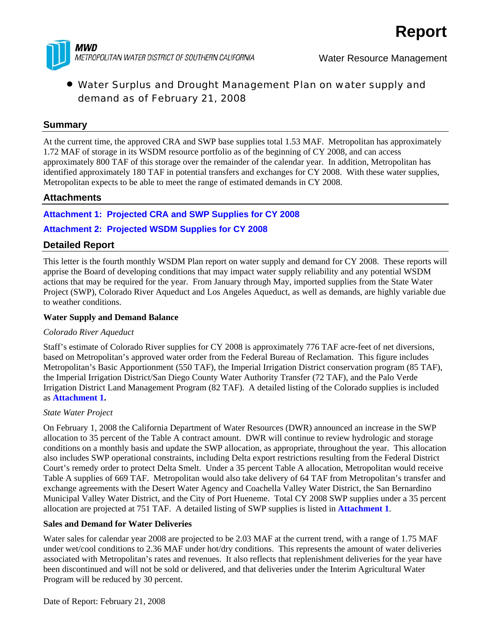

# • Water Surplus and Drought Management Plan on water supply and demand as of February 21, 2008

## **Summary**

At the current time, the approved CRA and SWP base supplies total 1.53 MAF. Metropolitan has approximately 1.72 MAF of storage in its WSDM resource portfolio as of the beginning of CY 2008, and can access approximately 800 TAF of this storage over the remainder of the calendar year. In addition, Metropolitan has identified approximately 180 TAF in potential transfers and exchanges for CY 2008. With these water supplies, Metropolitan expects to be able to meet the range of estimated demands in CY 2008.

## **Attachments**

## **Attachment 1: Projected CRA and SWP Supplies for CY 2008**

## **Attachment 2: Projected WSDM Supplies for CY 2008**

## **Detailed Report**

This letter is the fourth monthly WSDM Plan report on water supply and demand for CY 2008. These reports will apprise the Board of developing conditions that may impact water supply reliability and any potential WSDM actions that may be required for the year. From January through May, imported supplies from the State Water Project (SWP), Colorado River Aqueduct and Los Angeles Aqueduct, as well as demands, are highly variable due to weather conditions.

#### **Water Supply and Demand Balance**

## *Colorado River Aqueduct*

Staff's estimate of Colorado River supplies for CY 2008 is approximately 776 TAF acre-feet of net diversions, based on Metropolitan's approved water order from the Federal Bureau of Reclamation. This figure includes Metropolitan's Basic Apportionment (550 TAF), the Imperial Irrigation District conservation program (85 TAF), the Imperial Irrigation District/San Diego County Water Authority Transfer (72 TAF), and the Palo Verde Irrigation District Land Management Program (82 TAF). A detailed listing of the Colorado supplies is included as **Attachment 1.**

#### *State Water Project*

On February 1, 2008 the California Department of Water Resources (DWR) announced an increase in the SWP allocation to 35 percent of the Table A contract amount. DWR will continue to review hydrologic and storage conditions on a monthly basis and update the SWP allocation, as appropriate, throughout the year. This allocation also includes SWP operational constraints, including Delta export restrictions resulting from the Federal District Court's remedy order to protect Delta Smelt. Under a 35 percent Table A allocation, Metropolitan would receive Table A supplies of 669 TAF. Metropolitan would also take delivery of 64 TAF from Metropolitan's transfer and exchange agreements with the Desert Water Agency and Coachella Valley Water District, the San Bernardino Municipal Valley Water District, and the City of Port Hueneme. Total CY 2008 SWP supplies under a 35 percent allocation are projected at 751 TAF. A detailed listing of SWP supplies is listed in **Attachment 1**.

## **Sales and Demand for Water Deliveries**

Water sales for calendar year 2008 are projected to be 2.03 MAF at the current trend, with a range of 1.75 MAF under wet/cool conditions to 2.36 MAF under hot/dry conditions. This represents the amount of water deliveries associated with Metropolitan's rates and revenues. It also reflects that replenishment deliveries for the year have been discontinued and will not be sold or delivered, and that deliveries under the Interim Agricultural Water Program will be reduced by 30 percent.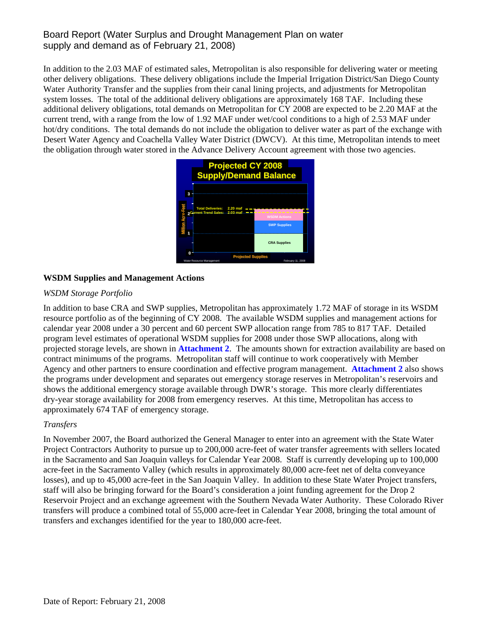## Board Report (Water Surplus and Drought Management Plan on water supply and demand as of February 21, 2008)

In addition to the 2.03 MAF of estimated sales, Metropolitan is also responsible for delivering water or meeting other delivery obligations. These delivery obligations include the Imperial Irrigation District/San Diego County Water Authority Transfer and the supplies from their canal lining projects, and adjustments for Metropolitan system losses. The total of the additional delivery obligations are approximately 168 TAF. Including these additional delivery obligations, total demands on Metropolitan for CY 2008 are expected to be 2.20 MAF at the current trend, with a range from the low of 1.92 MAF under wet/cool conditions to a high of 2.53 MAF under hot/dry conditions. The total demands do not include the obligation to deliver water as part of the exchange with Desert Water Agency and Coachella Valley Water District (DWCV). At this time, Metropolitan intends to meet the obligation through water stored in the Advance Delivery Account agreement with those two agencies.



## **WSDM Supplies and Management Actions**

## *WSDM Storage Portfolio*

In addition to base CRA and SWP supplies, Metropolitan has approximately 1.72 MAF of storage in its WSDM resource portfolio as of the beginning of CY 2008. The available WSDM supplies and management actions for calendar year 2008 under a 30 percent and 60 percent SWP allocation range from 785 to 817 TAF. Detailed program level estimates of operational WSDM supplies for 2008 under those SWP allocations, along with projected storage levels, are shown in **Attachment 2**. The amounts shown for extraction availability are based on contract minimums of the programs. Metropolitan staff will continue to work cooperatively with Member Agency and other partners to ensure coordination and effective program management. **Attachment 2** also shows the programs under development and separates out emergency storage reserves in Metropolitan's reservoirs and shows the additional emergency storage available through DWR's storage. This more clearly differentiates dry-year storage availability for 2008 from emergency reserves. At this time, Metropolitan has access to approximately 674 TAF of emergency storage.

## *Transfers*

In November 2007, the Board authorized the General Manager to enter into an agreement with the State Water Project Contractors Authority to pursue up to 200,000 acre-feet of water transfer agreements with sellers located in the Sacramento and San Joaquin valleys for Calendar Year 2008. Staff is currently developing up to 100,000 acre-feet in the Sacramento Valley (which results in approximately 80,000 acre-feet net of delta conveyance losses), and up to 45,000 acre-feet in the San Joaquin Valley. In addition to these State Water Project transfers, staff will also be bringing forward for the Board's consideration a joint funding agreement for the Drop 2 Reservoir Project and an exchange agreement with the Southern Nevada Water Authority. These Colorado River transfers will produce a combined total of 55,000 acre-feet in Calendar Year 2008, bringing the total amount of transfers and exchanges identified for the year to 180,000 acre-feet.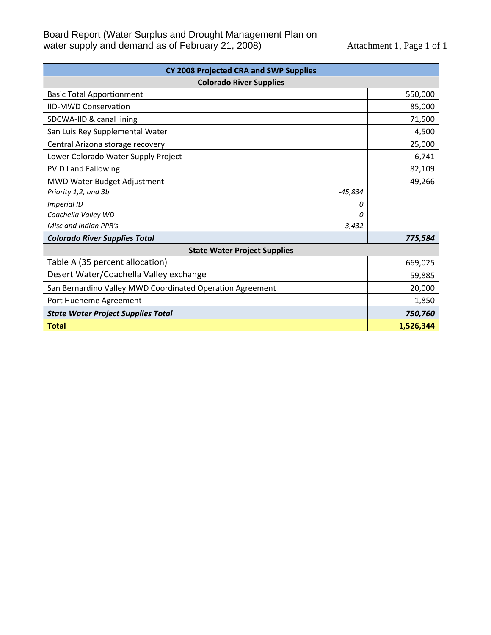| CY 2008 Projected CRA and SWP Supplies                    |           |  |  |  |  |  |
|-----------------------------------------------------------|-----------|--|--|--|--|--|
| <b>Colorado River Supplies</b>                            |           |  |  |  |  |  |
| <b>Basic Total Apportionment</b>                          | 550,000   |  |  |  |  |  |
| <b>IID-MWD Conservation</b>                               | 85,000    |  |  |  |  |  |
| SDCWA-IID & canal lining                                  | 71,500    |  |  |  |  |  |
| San Luis Rey Supplemental Water                           | 4,500     |  |  |  |  |  |
| Central Arizona storage recovery                          | 25,000    |  |  |  |  |  |
| Lower Colorado Water Supply Project                       | 6,741     |  |  |  |  |  |
| <b>PVID Land Fallowing</b>                                | 82,109    |  |  |  |  |  |
| MWD Water Budget Adjustment                               | $-49,266$ |  |  |  |  |  |
| $-45,834$<br>Priority 1,2, and 3b                         |           |  |  |  |  |  |
| <b>Imperial ID</b><br>0                                   |           |  |  |  |  |  |
| Coachella Valley WD<br>Ω                                  |           |  |  |  |  |  |
| Misc and Indian PPR's<br>$-3,432$                         |           |  |  |  |  |  |
| <b>Colorado River Supplies Total</b>                      | 775,584   |  |  |  |  |  |
| <b>State Water Project Supplies</b>                       |           |  |  |  |  |  |
| Table A (35 percent allocation)                           | 669,025   |  |  |  |  |  |
| Desert Water/Coachella Valley exchange                    | 59,885    |  |  |  |  |  |
| San Bernardino Valley MWD Coordinated Operation Agreement | 20,000    |  |  |  |  |  |
| Port Hueneme Agreement                                    | 1,850     |  |  |  |  |  |
| <b>State Water Project Supplies Total</b>                 | 750,760   |  |  |  |  |  |
| <b>Total</b>                                              | 1,526,344 |  |  |  |  |  |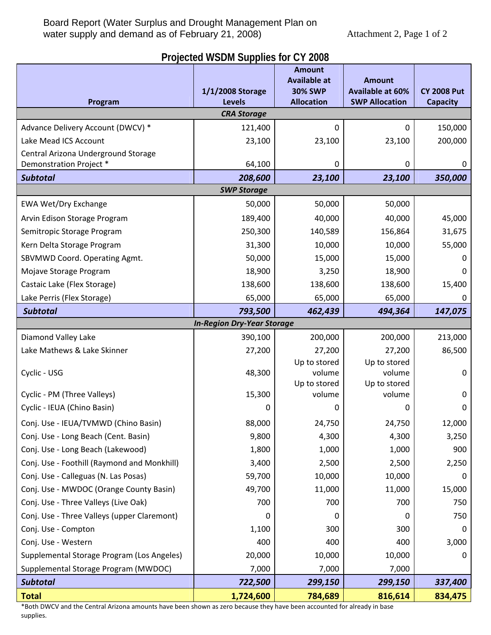## **Projected WSDM Supplies for CY 2008**

|                                                                                                                 |                                   | <b>Amount</b><br><b>Available at</b> | <b>Amount</b>           |                    |  |  |  |
|-----------------------------------------------------------------------------------------------------------------|-----------------------------------|--------------------------------------|-------------------------|--------------------|--|--|--|
|                                                                                                                 | 1/1/2008 Storage                  | <b>30% SWP</b>                       | <b>Available at 60%</b> | <b>CY 2008 Put</b> |  |  |  |
| <b>SWP Allocation</b><br><b>Levels</b><br><b>Allocation</b><br>Program<br><b>Capacity</b><br><b>CRA Storage</b> |                                   |                                      |                         |                    |  |  |  |
| Advance Delivery Account (DWCV) *                                                                               | 121,400                           | 0                                    | 0                       | 150,000            |  |  |  |
| Lake Mead ICS Account                                                                                           | 23,100                            | 23,100                               | 23,100                  | 200,000            |  |  |  |
| Central Arizona Underground Storage                                                                             |                                   |                                      |                         |                    |  |  |  |
| Demonstration Project *                                                                                         | 64,100                            | 0                                    | 0                       | 0                  |  |  |  |
| <b>Subtotal</b>                                                                                                 | 208,600                           | 23,100                               | 23,100                  | 350,000            |  |  |  |
|                                                                                                                 | <b>SWP Storage</b>                |                                      |                         |                    |  |  |  |
| <b>EWA Wet/Dry Exchange</b>                                                                                     | 50,000                            | 50,000                               | 50,000                  |                    |  |  |  |
| Arvin Edison Storage Program                                                                                    | 189,400                           | 40,000                               | 40,000                  | 45,000             |  |  |  |
| Semitropic Storage Program                                                                                      | 250,300                           | 140,589                              | 156,864                 | 31,675             |  |  |  |
| Kern Delta Storage Program                                                                                      | 31,300                            | 10,000                               | 10,000                  | 55,000             |  |  |  |
| SBVMWD Coord. Operating Agmt.                                                                                   | 50,000                            | 15,000                               | 15,000                  | 0                  |  |  |  |
| Mojave Storage Program                                                                                          | 18,900                            | 3,250                                | 18,900                  | 0                  |  |  |  |
| Castaic Lake (Flex Storage)                                                                                     | 138,600                           | 138,600                              | 138,600                 | 15,400             |  |  |  |
| Lake Perris (Flex Storage)                                                                                      | 65,000                            | 65,000                               | 65,000                  | 0                  |  |  |  |
| <b>Subtotal</b>                                                                                                 | 793,500                           | 462,439                              | 494,364                 | 147,075            |  |  |  |
|                                                                                                                 | <b>In-Region Dry-Year Storage</b> |                                      |                         |                    |  |  |  |
| Diamond Valley Lake                                                                                             | 390,100                           | 200,000                              | 200,000                 | 213,000            |  |  |  |
| Lake Mathews & Lake Skinner                                                                                     | 27,200                            | 27,200                               | 27,200                  | 86,500             |  |  |  |
|                                                                                                                 |                                   | Up to stored                         | Up to stored            |                    |  |  |  |
| Cyclic - USG                                                                                                    | 48,300                            | volume<br>Up to stored               | volume<br>Up to stored  | 0                  |  |  |  |
| Cyclic - PM (Three Valleys)                                                                                     | 15,300                            | volume                               | volume                  | $\mathbf 0$        |  |  |  |
| Cyclic - IEUA (Chino Basin)                                                                                     | 0                                 | 0                                    | 0                       | 0                  |  |  |  |
| Conj. Use - IEUA/TVMWD (Chino Basin)                                                                            | 88,000                            | 24,750                               | 24,750                  | 12,000             |  |  |  |
| Conj. Use - Long Beach (Cent. Basin)                                                                            | 9,800                             | 4,300                                | 4,300                   | 3,250              |  |  |  |
| Conj. Use - Long Beach (Lakewood)                                                                               | 1,800                             | 1,000                                | 1,000                   | 900                |  |  |  |
| Conj. Use - Foothill (Raymond and Monkhill)                                                                     | 3,400                             | 2,500                                | 2,500                   | 2,250              |  |  |  |
| Conj. Use - Calleguas (N. Las Posas)                                                                            | 59,700                            | 10,000                               | 10,000                  | 0                  |  |  |  |
| Conj. Use - MWDOC (Orange County Basin)                                                                         | 49,700                            | 11,000                               | 11,000                  | 15,000             |  |  |  |
| Conj. Use - Three Valleys (Live Oak)                                                                            | 700                               | 700                                  | 700                     | 750                |  |  |  |
| Conj. Use - Three Valleys (upper Claremont)                                                                     | 0                                 | 0                                    | 0                       | 750                |  |  |  |
| Conj. Use - Compton                                                                                             | 1,100                             | 300                                  | 300                     | $\mathbf 0$        |  |  |  |
| Conj. Use - Western                                                                                             | 400                               | 400                                  | 400                     | 3,000              |  |  |  |
| Supplemental Storage Program (Los Angeles)                                                                      | 20,000                            | 10,000                               | 10,000                  | 0                  |  |  |  |
| Supplemental Storage Program (MWDOC)                                                                            | 7,000                             | 7,000                                | 7,000                   |                    |  |  |  |
| <b>Subtotal</b>                                                                                                 | 722,500                           | 299,150                              | 299,150                 | 337,400            |  |  |  |
| <b>Total</b>                                                                                                    | 1,724,600                         | 784,689                              | 816,614                 | 834,475            |  |  |  |

\*Both DWCV and the Central Arizona amounts have been shown as zero because they have been accounted for already in base supplies.